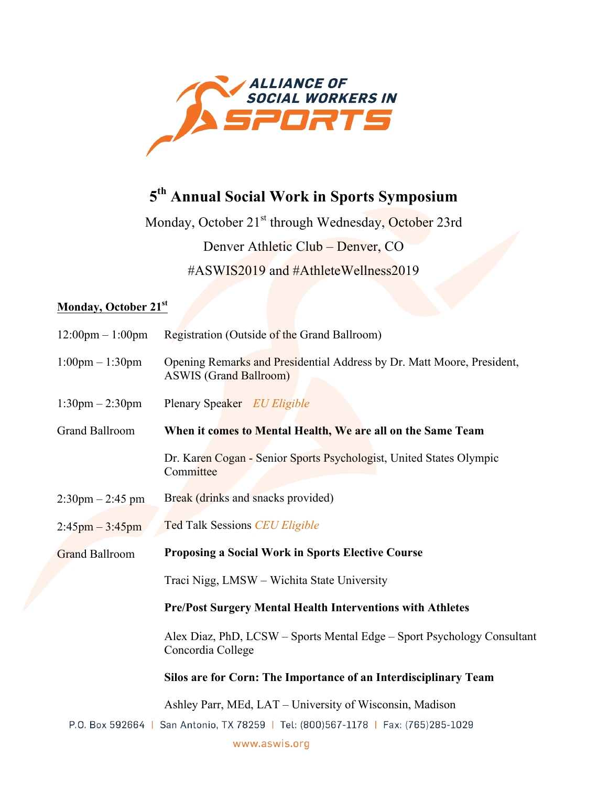

# **5th Annual Social Work in Sports Symposium**

Monday, October 21<sup>st</sup> through Wednesday, October 23rd Denver Athletic Club – Denver, CO #ASWIS2019 and #AthleteWellness2019

# **Monday, October 21st**

| $12:00 \text{pm} - 1:00 \text{pm}$ | Registration (Outside of the Grand Ballroom)                                                            |
|------------------------------------|---------------------------------------------------------------------------------------------------------|
| $1:00 \text{pm} - 1:30 \text{pm}$  | Opening Remarks and Presidential Address by Dr. Matt Moore, President,<br><b>ASWIS</b> (Grand Ballroom) |
| $1:30 \text{pm} - 2:30 \text{pm}$  | Plenary Speaker & EU Eligible                                                                           |
| <b>Grand Ballroom</b>              | When it comes to Mental Health, We are all on the Same Team                                             |
|                                    | Dr. Karen Cogan - Senior Sports Psychologist, United States Olympic<br>Committee                        |
| $2:30 \text{pm} - 2:45 \text{pm}$  | Break (drinks and snacks provided)                                                                      |
| $2:45$ pm $-3:45$ pm               | <b>Ted Talk Sessions CEU Eligible 3</b>                                                                 |
| <b>Grand Ballroom</b>              | <b>Proposing a Social Work in Sports Elective Course</b>                                                |
|                                    | Traci Nigg, LMSW - Wichita State University                                                             |
|                                    | <b>Pre/Post Surgery Mental Health Interventions with Athletes</b>                                       |
|                                    | Alex Diaz, PhD, LCSW - Sports Mental Edge - Sport Psychology Consultant<br>Concordia College            |
|                                    | Silos are for Corn: The Importance of an Interdisciplinary Team                                         |
|                                    |                                                                                                         |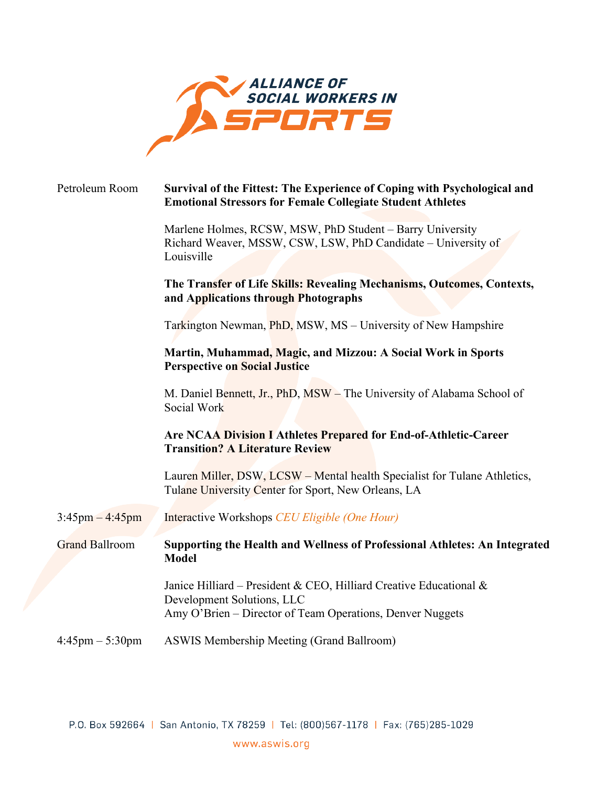

| Petroleum Room                    | Survival of the Fittest: The Experience of Coping with Psychological and<br><b>Emotional Stressors for Female Collegiate Student Athletes</b>                 |
|-----------------------------------|---------------------------------------------------------------------------------------------------------------------------------------------------------------|
|                                   | Marlene Holmes, RCSW, MSW, PhD Student - Barry University<br>Richard Weaver, MSSW, CSW, LSW, PhD Candidate - University of<br>Louisville                      |
|                                   | The Transfer of Life Skills: Revealing Mechanisms, Outcomes, Contexts,<br>and Applications through Photographs                                                |
|                                   | Tarkington Newman, <i>PhD</i> , MSW, MS – University of New Hampshire                                                                                         |
|                                   | Martin, Muhammad, Magic, and Mizzou: A Social Work in Sports<br><b>Perspective on Social Justice</b>                                                          |
|                                   | M. Daniel Bennett, Jr., PhD, MSW - The University of Alabama School of<br>Social Work                                                                         |
|                                   | Are NCAA Division I Athletes Prepared for End-of-Athletic-Career<br><b>Transition? A Literature Review</b>                                                    |
|                                   | Lauren Miller, DSW, LCSW – Mental health Specialist for Tulane Athletics,<br>Tulane University Center for Sport, New Orleans, LA                              |
| $3:45 \text{pm} - 4:45 \text{pm}$ | Interactive Workshops CEU Eligible (One Hour)                                                                                                                 |
| <b>Grand Ballroom</b>             | Supporting the Health and Wellness of Professional Athletes: An Integrated<br><b>Model</b>                                                                    |
|                                   | Janice Hilliard - President & CEO, Hilliard Creative Educational &<br>Development Solutions, LLC<br>Amy O'Brien - Director of Team Operations, Denver Nuggets |
| $4:45 \text{pm} - 5:30 \text{pm}$ | <b>ASWIS Membership Meeting (Grand Ballroom)</b>                                                                                                              |

P.O. Box 592664 | San Antonio, TX 78259 | Tel: (800)567-1178 | Fax: (765)285-1029 www.aswis.org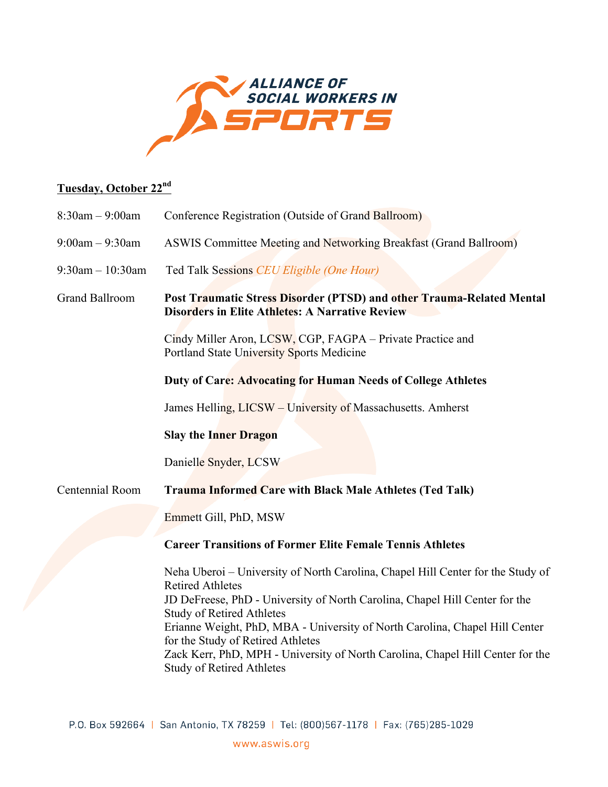

# **Tuesday, October 22nd**

| $8:30$ am $-9:00$ am  | Conference Registration (Outside of Grand Ballroom)                                                                                                                                                                                                                                                                                                                                                                                                                     |
|-----------------------|-------------------------------------------------------------------------------------------------------------------------------------------------------------------------------------------------------------------------------------------------------------------------------------------------------------------------------------------------------------------------------------------------------------------------------------------------------------------------|
| $9:00am - 9:30am$     | <b>ASWIS Committee Meeting and Networking Breakfast (Grand Ballroom)</b>                                                                                                                                                                                                                                                                                                                                                                                                |
| $9:30$ am $-10:30$ am | Ted Talk Sessions CEU Eligible (One Hour)                                                                                                                                                                                                                                                                                                                                                                                                                               |
| <b>Grand Ballroom</b> | Post Traumatic Stress Disorder (PTSD) and other Trauma-Related Mental<br><b>Disorders in Elite Athletes: A Narrative Review</b>                                                                                                                                                                                                                                                                                                                                         |
|                       | Cindy Miller Aron, LCSW, CGP, FAGPA – Private Practice and<br>Portland State University Sports Medicine                                                                                                                                                                                                                                                                                                                                                                 |
|                       | Duty of Care: Advocating for Human Needs of College Athletes                                                                                                                                                                                                                                                                                                                                                                                                            |
|                       | James Helling, LICSW – University of Massachusetts. Amherst                                                                                                                                                                                                                                                                                                                                                                                                             |
|                       | <b>Slay the Inner Dragon</b>                                                                                                                                                                                                                                                                                                                                                                                                                                            |
|                       | Danielle Snyder, LCSW                                                                                                                                                                                                                                                                                                                                                                                                                                                   |
| Centennial Room       | <b>Trauma Informed Care with Black Male Athletes (Ted Talk)</b>                                                                                                                                                                                                                                                                                                                                                                                                         |
|                       | Emmett Gill, PhD, MSW                                                                                                                                                                                                                                                                                                                                                                                                                                                   |
|                       | <b>Career Transitions of Former Elite Female Tennis Athletes</b>                                                                                                                                                                                                                                                                                                                                                                                                        |
|                       | Neha Uberoi – University of North Carolina, Chapel Hill Center for the Study of<br><b>Retired Athletes</b><br>JD DeFreese, PhD - University of North Carolina, Chapel Hill Center for the<br><b>Study of Retired Athletes</b><br>Erianne Weight, PhD, MBA - University of North Carolina, Chapel Hill Center<br>for the Study of Retired Athletes<br>Zack Kerr, PhD, MPH - University of North Carolina, Chapel Hill Center for the<br><b>Study of Retired Athletes</b> |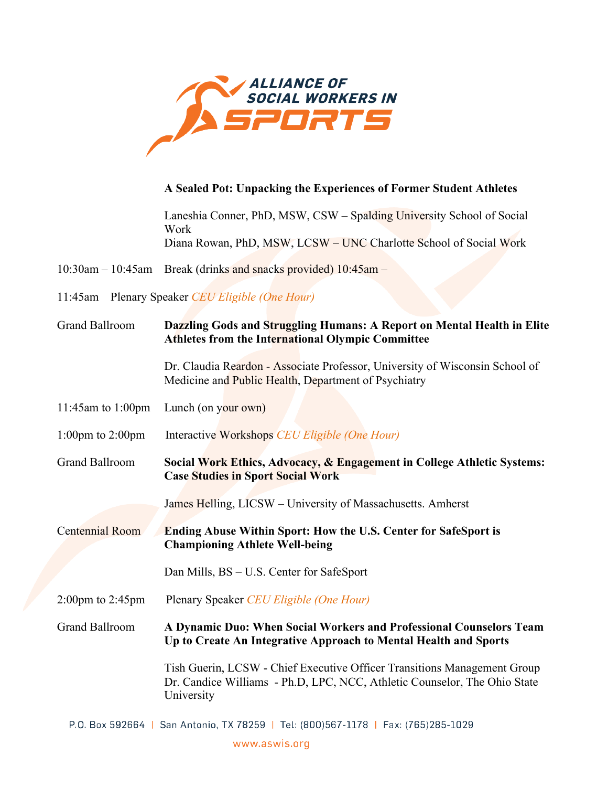

# **A Sealed Pot: Unpacking the Experiences of Former Student Athletes**

Laneshia Conner, PhD, MSW, CSW – Spalding University School of Social Work Diana Rowan, PhD, MSW, LCSW – UNC Charlotte School of Social Work

10:30am – 10:45am Break (drinks and snacks provided) 10:45am –

11:45am Plenary Speaker *CEU Eligible (One Hour)*

| <b>Grand Ballroom</b>                | Dazzling Gods and Struggling Humans: A Report on Mental Health in Elite<br>Athletes from the International Olympic Committee                                        |
|--------------------------------------|---------------------------------------------------------------------------------------------------------------------------------------------------------------------|
|                                      | Dr. Claudia Reardon - Associate Professor, University of Wisconsin School of<br>Medicine and Public Health, Department of Psychiatry                                |
| 11:45am to 1:00pm                    | Lunch (on your own)                                                                                                                                                 |
| 1:00pm to $2:00$ pm                  | Interactive Workshops CEU Eligible (One Hour)                                                                                                                       |
| <b>Grand Ballroom</b>                | Social Work Ethics, Advocacy, & Engagement in College Athletic Systems:<br><b>Case Studies in Sport Social Work</b>                                                 |
|                                      | James Helling, LICSW – University of Massachusetts. Amherst                                                                                                         |
| Centennial Room                      | <b>Ending Abuse Within Sport: How the U.S. Center for SafeSport is</b><br><b>Championing Athlete Well-being</b>                                                     |
|                                      | Dan Mills, BS – U.S. Center for SafeSport                                                                                                                           |
| $2:00 \text{pm}$ to $2:45 \text{pm}$ | Plenary Speaker CEU Eligible (One Hour)                                                                                                                             |
| <b>Grand Ballroom</b>                | A Dynamic Duo: When Social Workers and Professional Counselors Team<br>Up to Create An Integrative Approach to Mental Health and Sports                             |
|                                      | Tish Guerin, LCSW - Chief Executive Officer Transitions Management Group<br>Dr. Candice Williams - Ph.D, LPC, NCC, Athletic Counselor, The Ohio State<br>University |
|                                      | P.O. Box 592664   San Antonio, TX 78259   Tel: (800)567-1178   Fax: (765)285-1029                                                                                   |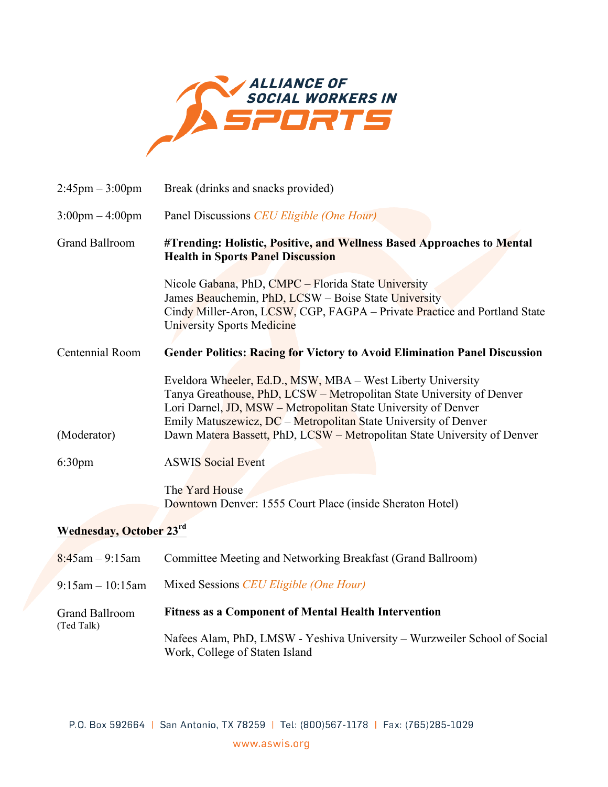

| $2:45 \text{pm} - 3:00 \text{pm}$ | Break (drinks and snacks provided)                                                                                                                                                                                                                                                                                                                    |  |
|-----------------------------------|-------------------------------------------------------------------------------------------------------------------------------------------------------------------------------------------------------------------------------------------------------------------------------------------------------------------------------------------------------|--|
| $3:00 \text{pm} - 4:00 \text{pm}$ | Panel Discussions CEU Eligible (One Hour)                                                                                                                                                                                                                                                                                                             |  |
| <b>Grand Ballroom</b>             | #Trending: Holistic, Positive, and Wellness Based Approaches to Mental<br><b>Health in Sports Panel Discussion</b>                                                                                                                                                                                                                                    |  |
|                                   | Nicole Gabana, PhD, CMPC - Florida State University<br>James Beauchemin, PhD, LCSW - Boise State University<br>Cindy Miller-Aron, LCSW, CGP, FAGPA – Private Practice and Portland State<br>University Sports Medicine                                                                                                                                |  |
| Centennial Room                   | <b>Gender Politics: Racing for Victory to Avoid Elimination Panel Discussion</b>                                                                                                                                                                                                                                                                      |  |
| (Moderator)                       | Eveldora Wheeler, Ed.D., MSW, MBA - West Liberty University<br>Tanya Greathouse, PhD, LCSW – Metropolitan State University of Denver<br>Lori Darnel, JD, MSW – Metropolitan State University of Denver<br>Emily Matuszewicz, DC - Metropolitan State University of Denver<br>Dawn Matera Bassett, PhD, LCSW - Metropolitan State University of Denver |  |
| 6:30pm                            | <b>ASWIS Social Event</b>                                                                                                                                                                                                                                                                                                                             |  |
|                                   | The Yard House<br>Downtown Denver: 1555 Court Place (inside Sheraton Hotel)                                                                                                                                                                                                                                                                           |  |
| <b>Wednesday, October 23rd</b>    |                                                                                                                                                                                                                                                                                                                                                       |  |
| $8:45$ am - 9:15am                | Committee Meeting and Networking Breakfast (Grand Ballroom)                                                                                                                                                                                                                                                                                           |  |
| $9:15$ am $-10:15$ am             | Mixed Sessions CEU Eligible (One Hour)                                                                                                                                                                                                                                                                                                                |  |
| <b>Grand Ballroom</b>             | <b>Fitness as a Component of Mental Health Intervention</b>                                                                                                                                                                                                                                                                                           |  |
| (Ted Talk)                        | Nafees Alam, PhD, LMSW - Yeshiva University - Wurzweiler School of Social<br>Work, College of Staten Island                                                                                                                                                                                                                                           |  |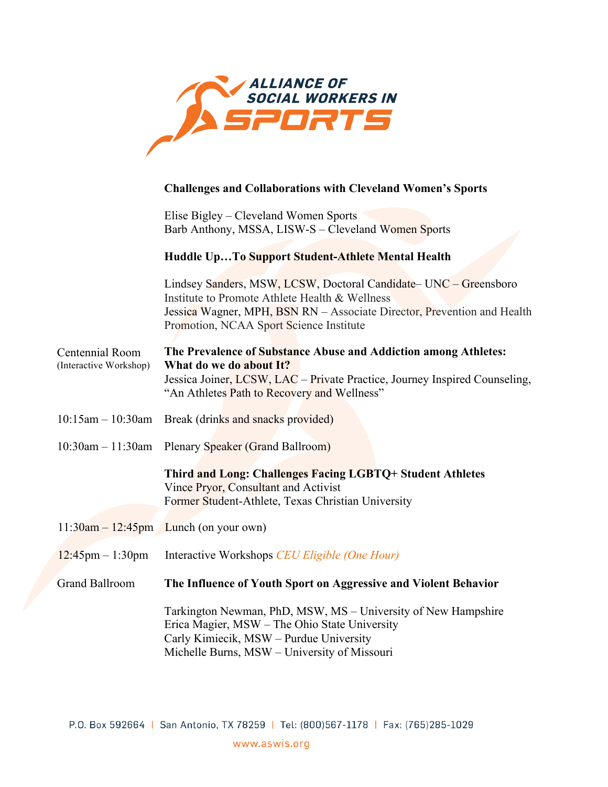

#### **Challenges and Collaborations with Cleveland Women's Sports**

Elise Bigley – Cleveland Women Sports Barb Anthony, MSSA, LISW-S – Cleveland Women Sports

#### **Huddle Up…To Support Student-Athlete Mental Health**

Lindsey Sanders, MSW, LCSW, Doctoral Candidate– UNC – Greensboro Institute to Promote Athlete Health & Wellness Centennial Room (Interactive Workshop) Jessica Wagner, MPH, BSN RN – Associate Director, Prevention and Health Promotion, NCAA Sport Science Institute **The Prevalence of Substance Abuse and Addiction among Athletes: What do we do about It?**  Jessica Joiner, LCSW, LAC – Private Practice, Journey Inspired Counseling, "An Athletes Path to Recovery and Wellness"

- $10:15$ am 10:30am Break (drinks and snacks provided)
- 10:30am 11:30am Plenary Speaker (Grand Ballroom)

**Third and Long: Challenges Facing LGBTQ+ Student Athletes**  Vince Pryor, Consultant and Activist Former Student-Athlete, Texas Christian University

- $11:30$ am  $12:45$ pm Lunch (on your own)
- 12:45pm 1:30pm Interactive Workshops *CEU Eligible (One Hour)*

Grand Ballroom **The Influence of Youth Sport on Aggressive and Violent Behavior** 

Tarkington Newman, PhD, MSW, MS – University of New Hampshire Erica Magier, MSW – The Ohio State University Carly Kimiecik, MSW – Purdue University Michelle Burns, MSW – University of Missouri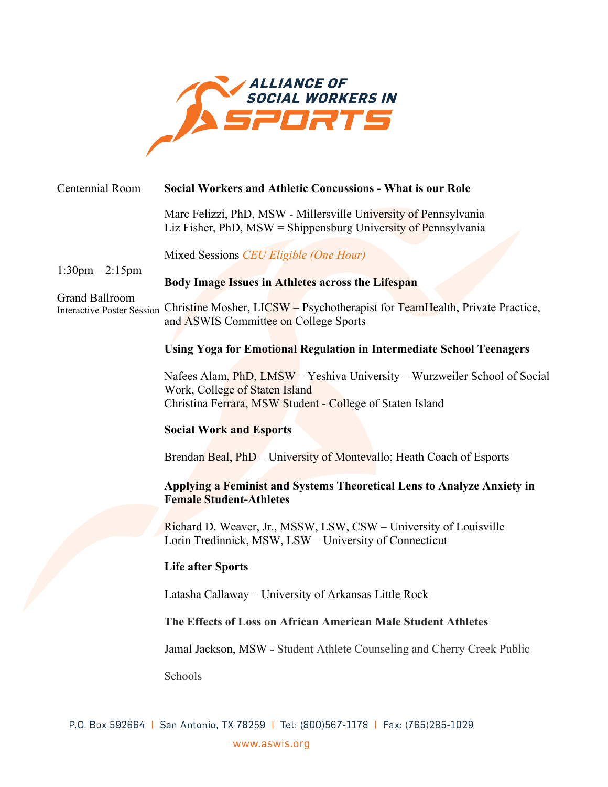

|                                                            | Centennial Room                   | <b>Social Workers and Athletic Concussions - What is our Role</b>                                                                                                        |
|------------------------------------------------------------|-----------------------------------|--------------------------------------------------------------------------------------------------------------------------------------------------------------------------|
| $1:30 \text{pm} - 2:15 \text{pm}$<br><b>Grand Ballroom</b> |                                   | Marc Felizzi, PhD, MSW - Millersville University of Pennsylvania<br>Liz Fisher, PhD, $MSW =$ Shippensburg University of Pennsylvania                                     |
|                                                            |                                   | Mixed Sessions CEU Eligible (One Hour)                                                                                                                                   |
|                                                            |                                   | Body Image Issues in Athletes across the Lifespan                                                                                                                        |
|                                                            | <b>Interactive Poster Session</b> | Christine Mosher, LICSW – Psychotherapist for TeamHealth, Private Practice,<br>and ASWIS Committee on College Sports                                                     |
|                                                            |                                   | <b>Using Yoga for Emotional Regulation in Intermediate School Teenagers</b>                                                                                              |
|                                                            |                                   | Nafees Alam, PhD, LMSW - Yeshiva University - Wurzweiler School of Social<br>Work, College of Staten Island<br>Christina Ferrara, MSW Student - College of Staten Island |
|                                                            |                                   | <b>Social Work and Esports</b>                                                                                                                                           |
|                                                            |                                   | Brendan Beal, PhD – University of Montevallo; Heath Coach of Esports                                                                                                     |
|                                                            |                                   | Applying a Feminist and Systems Theoretical Lens to Analyze Anxiety in<br><b>Female Student-Athletes</b>                                                                 |
|                                                            |                                   | Richard D. Weaver, Jr., MSSW, LSW, CSW - University of Louisville<br>Lorin Tredinnick, MSW, LSW - University of Connecticut                                              |
|                                                            |                                   | <b>Life after Sports</b>                                                                                                                                                 |
|                                                            |                                   | Latasha Callaway - University of Arkansas Little Rock                                                                                                                    |
|                                                            |                                   | The Effects of Loss on African American Male Student Athletes                                                                                                            |
|                                                            |                                   | Jamal Jackson, MSW - Student Athlete Counseling and Cherry Creek Public                                                                                                  |
|                                                            |                                   | Schools                                                                                                                                                                  |
|                                                            |                                   |                                                                                                                                                                          |
|                                                            |                                   |                                                                                                                                                                          |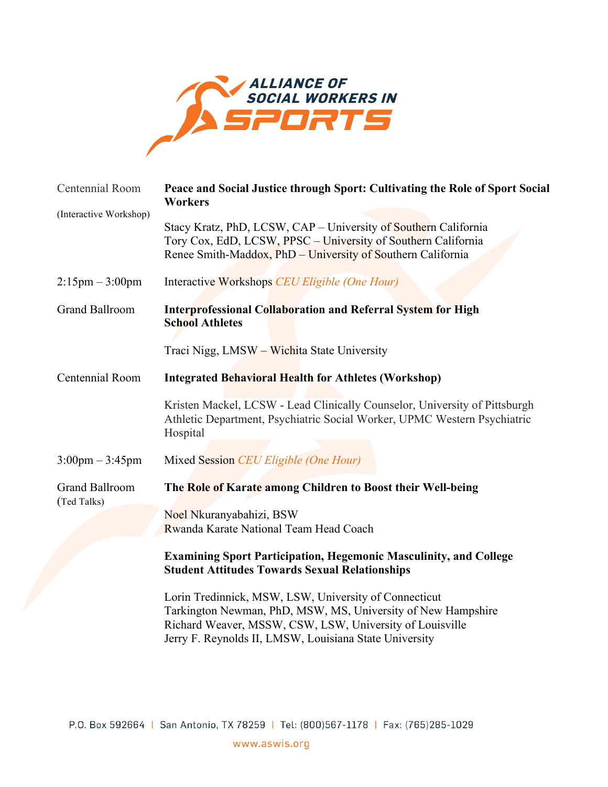

| Centennial Room                      | Peace and Social Justice through Sport: Cultivating the Role of Sport Social<br><b>Workers</b>                                                                                                                                              |
|--------------------------------------|---------------------------------------------------------------------------------------------------------------------------------------------------------------------------------------------------------------------------------------------|
| (Interactive Workshop)               | Stacy Kratz, PhD, LCSW, CAP - University of Southern California<br>Tory Cox, EdD, LCSW, PPSC - University of Southern California<br>Renee Smith-Maddox, PhD - University of Southern California                                             |
| $2:15 \text{pm} - 3:00 \text{pm}$    | Interactive Workshops CEU Eligible (One Hour)                                                                                                                                                                                               |
| <b>Grand Ballroom</b>                | <b>Interprofessional Collaboration and Referral System for High</b><br><b>School Athletes</b>                                                                                                                                               |
|                                      | Traci Nigg, LMSW - Wichita State University                                                                                                                                                                                                 |
| Centennial Room                      | <b>Integrated Behavioral Health for Athletes (Workshop)</b>                                                                                                                                                                                 |
|                                      | Kristen Mackel, LCSW - Lead Clinically Counselor, University of Pittsburgh<br>Athletic Department, Psychiatric Social Worker, UPMC Western Psychiatric<br>Hospital                                                                          |
| $3:00 \text{pm} - 3:45 \text{pm}$    | Mixed Session CEU Eligible (One Hour)                                                                                                                                                                                                       |
| <b>Grand Ballroom</b><br>(Ted Talks) | The Role of Karate among Children to Boost their Well-being                                                                                                                                                                                 |
|                                      | Noel Nkuranyabahizi, BSW<br>Rwanda Karate National Team Head Coach                                                                                                                                                                          |
|                                      | <b>Examining Sport Participation, Hegemonic Masculinity, and College</b><br><b>Student Attitudes Towards Sexual Relationships</b>                                                                                                           |
|                                      | Lorin Tredinnick, MSW, LSW, University of Connecticut<br>Tarkington Newman, PhD, MSW, MS, University of New Hampshire<br>Richard Weaver, MSSW, CSW, LSW, University of Louisville<br>Jerry F. Reynolds II, LMSW, Louisiana State University |